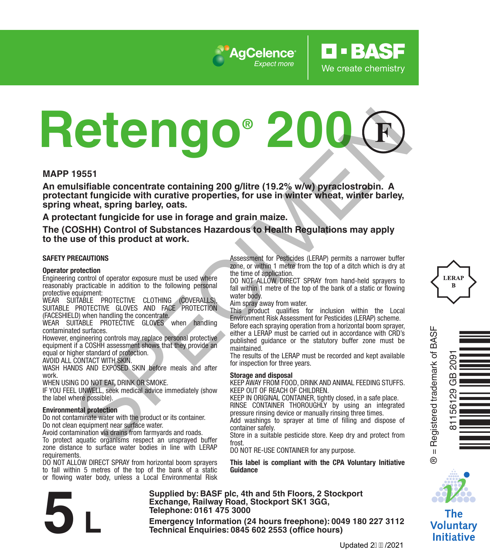

# **Retengo® 200 Example and the content and the protocomera and the specific and the specifical strength of the specific strength of the specific strength of the specific strength of the specific strength of the specific strength of the**

### **MAPP 19551**

**An emulsifiable concentrate containing 200 g/litre (19.2% w/w) pyraclostrobin. A protectant fungicide with curative properties, for use in winter wheat, winter barley, spring wheat, spring barley, oats.**

**A protectant fungicide for use in forage and grain maize.**

**The (COSHH) Control of Substances Hazardous to Health Regulations may apply to the use of this product at work.**

### **SAFETY PRECAUTIONS**

### **Operator protection**

Engineering control of operator exposure must be used where reasonably practicable in addition to the following personal protective equipment:

WEAR SUITABLE PROTECTIVE CLOTHING (COVERALLS), SUITABLE PROTECTIVE GLOVES AND FACE PROTECTION (FACESHIELD) when handling the concentrate.

WEAR SUITABLE PROTECTIVE GLOVES when handling contaminated surfaces.

However, engineering controls may replace personal protective equipment if a COSHH assessment shows that they provide an equal or higher standard of protection.

AVOID ALL CONTACT WITH SKIN.

WASH HANDS AND EXPOSED SKIN before meals and after work.

WHEN USING DO NOT EAT, DRINK OR SMOKE.

IF YOU FEEL UNWELL, seek medical advice immediately (show the label where possible).

### **Environmental protection**

Do not contaminate water with the product or its container. Do not clean equipment near surface water.

Avoid contamination via drains from farmyards and roads.

To protect aquatic organisms respect an unsprayed buffer zone distance to surface water bodies in line with LERAP requirements.

DO NOT ALLOW DIRECT SPRAY from horizontal boom sprayers to fall within 5 metres of the top of the bank of a static or flowing water body, unless a Local Environmental Risk

Assessment for Pesticides (LERAP) permits a narrower buffer zone, or within 1 metre from the top of a ditch which is dry at the time of application.

O • BASE

We create chemistry

DO NOT ALLOW DIRECT SPRAY from hand-held sprayers to fall within 1 metre of the top of the bank of a static or flowing water body.

Aim spray away from water.

This product qualifies for inclusion within the Local Environment Risk Assessment for Pesticides (LERAP) scheme.

Before each spraying operation from a horizontal boom sprayer, either a LERAP must be carried out in accordance with CRD's published guidance or the statutory buffer zone must be maintained.

The results of the LERAP must be recorded and kept available for inspection for three years.

### **Storage and disposal**

KEEP AWAY FROM FOOD, DRINK AND ANIMAL FEEDING STUFFS. KEEP OUT OF REACH OF CHILDREN.

KEEP IN ORIGINAL CONTAINER, tightly closed, in a safe place. RINSE CONTAINER THOROUGHLY by using an integrated pressure rinsing device or manually rinsing three times.

Add washings to sprayer at time of filling and dispose of container safely.

Store in a suitable pesticide store. Keep dry and protect from frost

DO NOT RE-USE CONTAINER for any purpose.

**This label is compliant with the CPA Voluntary Initiative Guidance**



**Supplied by: BASF plc, 4th and 5th Floors, 2 Stockport Exchange, Railway Road, Stockport SK1 3GG, Telephone: 0161 475 3000** Exchange, Rallway Road, Stockport SK1 3GG,<br>
Telephone: 0161 475 3000<br>
Emergency Information (24 hours freephone): 0049 180 227 3112<br>
Technical Enquiries: 0845 602 2553 (office hours)<br>
Updated 2JEJ/2021





® = Registered trademark of BASF

 $\mathbf{I}$  $^{\circ}$ 

Registered trademark of BASI

Щ



The Voluntary **Initiative**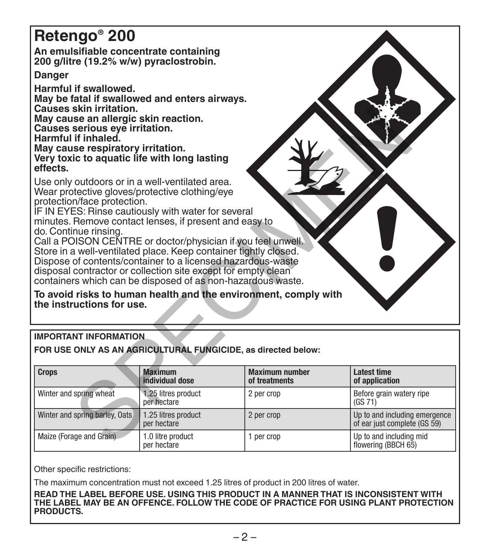# **Retengo® 200**

**An emulsifiable concentrate containing 200 g/litre (19.2% w/w) pyraclostrobin.**

### **Danger**

**Harmful if swallowed. May be fatal if swallowed and enters airways. Causes skin irritation. May cause an allergic skin reaction. Causes serious eye irritation. Harmful if inhaled. May cause respiratory irritation. Very toxic to aquatic life with long lasting effects.**

## **IMPORTANT INFORMATION**

| Causes skin irritation.<br>May cause an allergic skin reaction.<br>Causes serious eve irritation.<br>Harmful if inhaled.<br>May cause respiratory irritation.<br>Very toxic to aquatic life with long lasting<br>effects.                                                                                                                                                                                                                                                                                                                                                                                                                                                                                                                     |                                    |                                        |                                                               |
|-----------------------------------------------------------------------------------------------------------------------------------------------------------------------------------------------------------------------------------------------------------------------------------------------------------------------------------------------------------------------------------------------------------------------------------------------------------------------------------------------------------------------------------------------------------------------------------------------------------------------------------------------------------------------------------------------------------------------------------------------|------------------------------------|----------------------------------------|---------------------------------------------------------------|
| Use only outdoors or in a well-ventilated area.<br>Wear protective gloves/protective clothing/eye<br>protection/face protection.<br>IF IN EYES: Rinse cautiously with water for several<br>minutes. Remove contact lenses, if present and easy to<br>do. Continue rinsing.<br>Call a POISON CENTRE or doctor/physician if you feel unwell.<br>Store in a well-ventilated place. Keep container tightly closed.<br>Dispose of contents/container to a licensed hazardous-waste<br>disposal contractor or collection site except for empty clean<br>containers which can be disposed of as non-hazardous waste.<br>To avoid risks to human health and the environment, comply with<br>the instructions for use.<br><b>IMPORTANT INFORMATION</b> |                                    |                                        |                                                               |
| FOR USE ONLY AS AN AGRICULTURAL FUNGICIDE, as directed below:                                                                                                                                                                                                                                                                                                                                                                                                                                                                                                                                                                                                                                                                                 |                                    |                                        |                                                               |
| <b>Crops</b>                                                                                                                                                                                                                                                                                                                                                                                                                                                                                                                                                                                                                                                                                                                                  | <b>Maximum</b><br>individual dose  | <b>Maximum number</b><br>of treatments | <b>Latest time</b><br>of application                          |
| Winter and spring wheat                                                                                                                                                                                                                                                                                                                                                                                                                                                                                                                                                                                                                                                                                                                       | 1.25 litres product<br>per hectare | 2 per crop                             | Before grain watery ripe<br>(GS 71)                           |
| Winter and spring barley, Oats                                                                                                                                                                                                                                                                                                                                                                                                                                                                                                                                                                                                                                                                                                                | 1.25 litres product<br>per hectare | 2 per crop                             | Up to and including emergence<br>of ear just complete (GS 59) |
| Maize (Forage and Grain).                                                                                                                                                                                                                                                                                                                                                                                                                                                                                                                                                                                                                                                                                                                     | 1.0 litre product<br>per hectare   | 1 per crop                             | Up to and including mid<br>flowering (BBCH 65)                |

Other specific restrictions:

The maximum concentration must not exceed 1.25 litres of product in 200 litres of water.

**READ THE LABEL BEFORE USE. USING THIS PRODUCT IN A MANNER THAT IS INCONSISTENT WITH THE LABEL MAY BE AN OFFENCE. FOLLOW THE CODE OF PRACTICE FOR USING PLANT PROTECTION PRODUCTS.**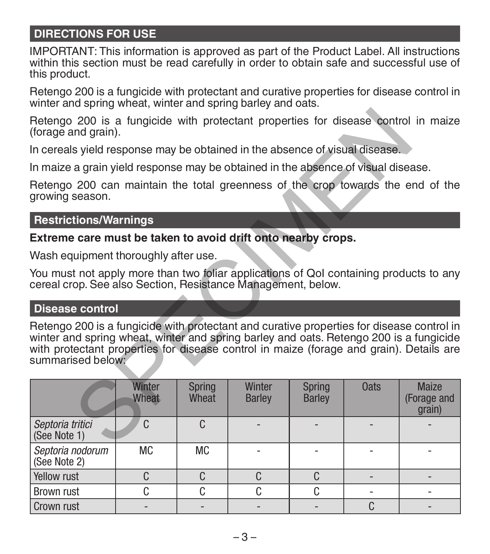# **DIRECTIONS FOR USE**

IMPORTANT: This information is approved as part of the Product Label. All instructions within this section must be read carefully in order to obtain safe and successful use of this product.

Retengo 200 is a fungicide with protectant and curative properties for disease control in winter and spring wheat, winter and spring barley and oats.

## **Restrictions/Warnings**

### **Extreme care must be taken to avoid drift onto nearby crops.**

### **Disease control**

| Retengo 200 is a fungicide with protectant properties for disease control in maize<br>(forage and grain).                                                                                                                                                                                           |                 |                        |                         |                                |             |                                |
|-----------------------------------------------------------------------------------------------------------------------------------------------------------------------------------------------------------------------------------------------------------------------------------------------------|-----------------|------------------------|-------------------------|--------------------------------|-------------|--------------------------------|
| In cereals yield response may be obtained in the absence of visual disease.                                                                                                                                                                                                                         |                 |                        |                         |                                |             |                                |
| In maize a grain yield response may be obtained in the absence of visual disease.                                                                                                                                                                                                                   |                 |                        |                         |                                |             |                                |
| Retengo 200 can maintain the total greenness of the crop towards the end of the<br>growing season.                                                                                                                                                                                                  |                 |                        |                         |                                |             |                                |
| <b>Restrictions/Warnings</b>                                                                                                                                                                                                                                                                        |                 |                        |                         |                                |             |                                |
| Extreme care must be taken to avoid drift onto nearby crops.                                                                                                                                                                                                                                        |                 |                        |                         |                                |             |                                |
| Wash equipment thoroughly after use.                                                                                                                                                                                                                                                                |                 |                        |                         |                                |             |                                |
| You must not apply more than two foliar applications of QoI containing products to any<br>cereal crop. See also Section, Resistance Management, below.                                                                                                                                              |                 |                        |                         |                                |             |                                |
| <b>Disease control</b>                                                                                                                                                                                                                                                                              |                 |                        |                         |                                |             |                                |
| Retengo 200 is a fungicide with protectant and curative properties for disease control in<br>winter and spring wheat, winter and spring barley and oats. Retengo 200 is a fungicide<br>with protectant properties for disease control in maize (forage and grain). Details are<br>summarised below: |                 |                        |                         |                                |             |                                |
|                                                                                                                                                                                                                                                                                                     | Winter<br>Wheat | <b>Spring</b><br>Wheat | Winter<br><b>Barley</b> | <b>Spring</b><br><b>Barley</b> | <b>Oats</b> | Maize<br>(Forage and<br>grain) |
| Septoria tritici<br>(See Note 1)                                                                                                                                                                                                                                                                    | C               | C                      |                         |                                |             |                                |
| Septoria nodorum<br>(See Note 2)                                                                                                                                                                                                                                                                    | <b>MC</b>       | <b>MC</b>              |                         |                                |             |                                |
| Yellow rust                                                                                                                                                                                                                                                                                         | C               | C                      | C                       | C                              |             |                                |
| Brown rust                                                                                                                                                                                                                                                                                          | C               | C                      | C                       | C                              |             |                                |
| Crown rust                                                                                                                                                                                                                                                                                          |                 |                        |                         |                                | C           |                                |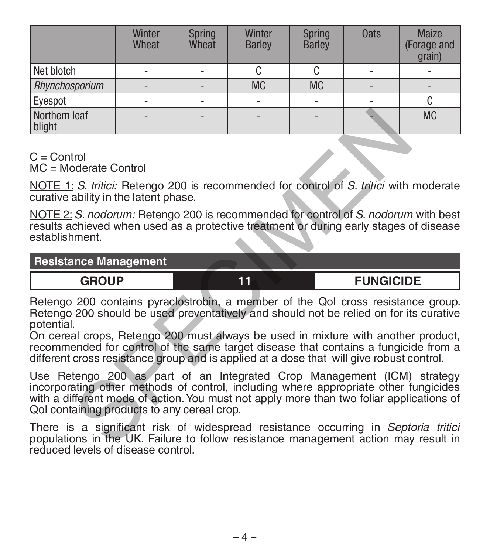|                         | Winter<br>Wheat | <b>Spring</b><br>Wheat | Winter<br><b>Barley</b> | Spring<br>Barley | <b>Oats</b> | Maize<br>(Forage and<br>grain) |
|-------------------------|-----------------|------------------------|-------------------------|------------------|-------------|--------------------------------|
| Net blotch              |                 |                        |                         |                  |             |                                |
| Rhynchosporium          |                 |                        | <b>MC</b>               | <b>MC</b>        |             |                                |
| Eyespot                 |                 |                        |                         |                  |             |                                |
| Northern leaf<br>blight |                 |                        |                         |                  |             | <b>MC</b>                      |

# $C -$ Control

MC = Moderate Control

NOTE 1: *S. tritici:* Retengo 200 is recommended for control of *S. tritici* with moderate curative ability in the latent phase.

NOTE 2: *S. nodorum:* Retengo 200 is recommended for control of *S. nodorum* with best results achieved when used as a protective treatment or during early stages of disease establishment.

### **Resistance Management**

| <b>GROUP</b> |  | <b>FUNGICIDE</b><br>______ |
|--------------|--|----------------------------|
|--------------|--|----------------------------|

Retengo 200 contains pyraclostrobin, a member of the QoI cross resistance group. Retengo 200 should be used preventatively and should not be relied on for its curative potential.

On cereal crops, Retengo 200 must always be used in mixture with another product, recommended for control of the same target disease that contains a fungicide from a different cross resistance group and is applied at a dose that will give robust control.

Use Retengo 200 as part of an Integrated Crop Management (ICM) strategy incorporating other methods of control, including where appropriate other fungicides with a different mode of action. You must not apply more than two foliar applications of QoI containing products to any cereal crop. leaf<br>
Irol<br>
Irol<br>
S. *tritici:* Retengo 200 is recommended for control of *S. tritici* with<br>
ability in the latent phase.<br>
S. *nodorum:* Retengo 200 is recommended for control of *S. nodorum*<br>
S. *nodorum:* Retengo 200 is

There is a significant risk of widespread resistance occurring in *Septoria tritici* populations in the UK. Failure to follow resistance management action may result in reduced levels of disease control.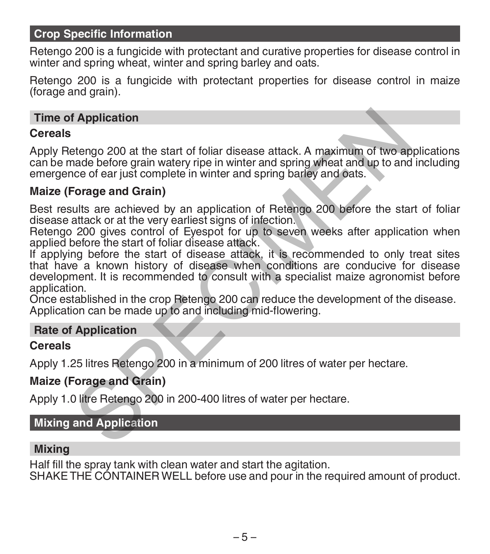# **Crop Specific Information**

Retengo 200 is a fungicide with protectant and curative properties for disease control in winter and spring wheat, winter and spring barley and oats.

Retengo 200 is a fungicide with protectant properties for disease control in maize (forage and grain).

### **Time of Application**

### **Cereals**

Apply Retengo 200 at the start of foliar disease attack. A maximum of two applications can be made before grain watery ripe in winter and spring wheat and up to and including emergence of ear just complete in winter and spring barley and oats.

### **Maize (Forage and Grain)**

Best results are achieved by an application of Retengo 200 before the start of foliar disease attack or at the very earliest signs of infection.

Retengo 200 gives control of Eyespot for up to seven weeks after application when applied before the start of foliar disease attack.

If applying before the start of disease attack, it is recommended to only treat sites that have a known history of disease when conditions are conducive for disease development. It is recommended to consult with a specialist maize agronomist before application. **Example 200** at the start of foliar disease attack. A maximum of two and<br>a before grain watery ripe in winter and spring wheat and up to and<br>ce of ear just complete in winter and spring bariey and oats.<br>Forage and Grain)<br>

Once established in the crop Retengo 200 can reduce the development of the disease. Application can be made up to and including mid-flowering.

### **Rate of Application**

### **Cereals**

Apply 1.25 litres Retengo 200 in a minimum of 200 litres of water per hectare.

### **Maize (Forage and Grain)**

Apply 1.0 litre Retengo 200 in 200-400 litres of water per hectare.

## **Mixing and Application**

# **Mixing**

Half fill the spray tank with clean water and start the agitation. SHAKE THE CONTAINER WELL before use and pour in the required amount of product.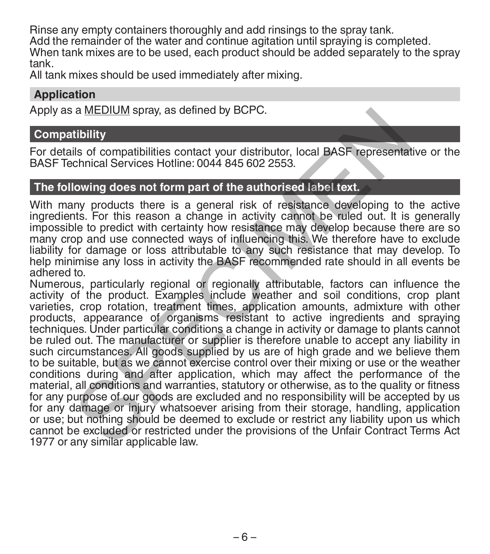Rinse any empty containers thoroughly and add rinsings to the spray tank. Add the remainder of the water and continue agitation until spraying is completed. When tank mixes are to be used, each product should be added separately to the spray tank.

All tank mixes should be used immediately after mixing.

## **Application**

Apply as a MEDIUM spray, as defined by BCPC.

# **Compatibility**

For details of compatibilities contact your distributor, local BASF representative or the BASF Technical Services Hotline: 0044 845 602 2553.

# **The following does not form part of the authorised label text.**

With many products there is a general risk of resistance developing to the active ingredients. For this reason a change in activity cannot be ruled out. It is generally impossible to predict with certainty how resistance may develop because there are so many crop and use connected ways of influencing this. We therefore have to exclude liability for damage or loss attributable to any such resistance that may develop. To help minimise any loss in activity the BASF recommended rate should in all events be adhered to.

Numerous, particularly regional or regionally attributable, factors can influence the activity of the product. Examples include weather and soil conditions, crop plant varieties, crop rotation, treatment times, application amounts, admixture with other products, appearance of organisms resistant to active ingredients and spraying techniques. Under particular conditions a change in activity or damage to plants cannot be ruled out. The manufacturer or supplier is therefore unable to accept any liability in such circumstances. All goods supplied by us are of high grade and we believe them to be suitable, but as we cannot exercise control over their mixing or use or the weather conditions during and after application, which may affect the performance of the material, all conditions and warranties, statutory or otherwise, as to the quality or fitness for any purpose of our goods are excluded and no responsibility will be accepted by us for any damage or injury whatsoever arising from their storage, handling, application or use; but nothing should be deemed to exclude or restrict any liability upon us which cannot be excluded or restricted under the provisions of the Unfair Contract Terms Act 1977 or any similar applicable law. a MEDIUM spray, as defined by BCPC.<br>
tibility<br>
ils of compatibilities contact your distributor, local BASF representat<br>
chincal Services Hotline: 0044 845 602 2553.<br>
lowing does not form part of the authorised label text.<br>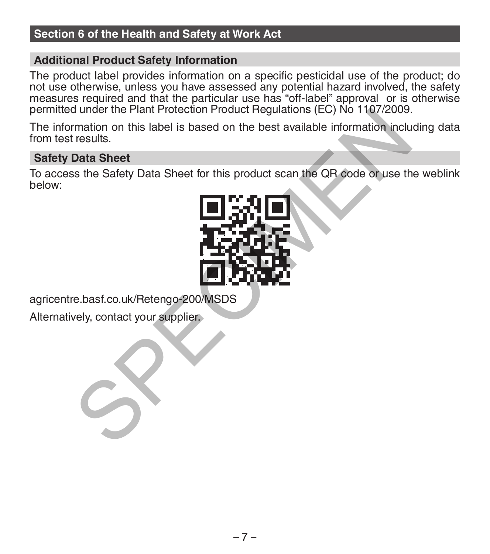# **Section 6 of the Health and Safety at Work Act**

### **Additional Product Safety Information**

The product label provides information on a specific pesticidal use of the product; do not use otherwise, unless you have assessed any potential hazard involved, the safety measures required and that the particular use has "off-label" approval or is otherwise permitted under the Plant Protection Product Regulations (EC) No 1107/2009.

The information on this label is based on the best available information including data from test results.

### **Safety Data Sheet**

To access the Safety Data Sheet for this product scan the QR code or use the weblink below:



agricentre.basf.co.uk/Retengo-200/MSDS

Alternatively, contact your supplier.